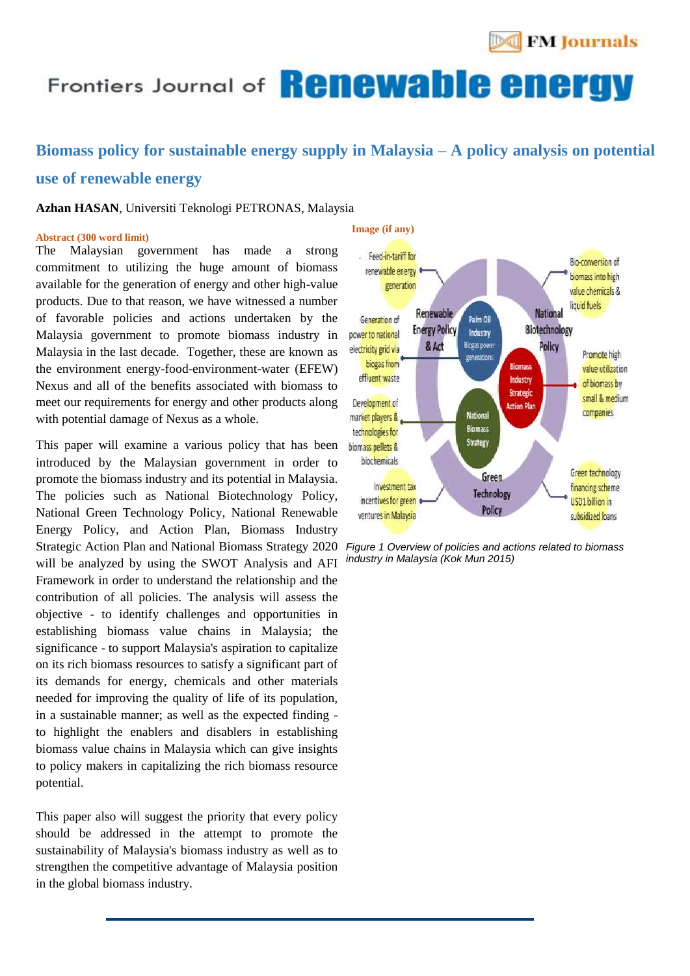

## Frontiers Journal of **Renewable energy**

### **Biomass policy for sustainable energy supply in Malaysia – A policy analysis on potential**

**Image (if any)**

#### **use of renewable energy**

#### **Azhan HASAN**, Universiti Teknologi PETRONAS, Malaysia

#### **Abstract (300 word limit)**

The Malaysian government has made a strong commitment to utilizing the huge amount of biomass available for the generation of energy and other high-value products. Due to that reason, we have witnessed a number of favorable policies and actions undertaken by the Malaysia government to promote biomass industry in Malaysia in the last decade. Together, these are known as the environment energy-food-environment-water (EFEW) Nexus and all of the benefits associated with biomass to meet our requirements for energy and other products along with potential damage of Nexus as a whole.

This paper will examine a various policy that has been introduced by the Malaysian government in order to promote the biomass industry and its potential in Malaysia. The policies such as National Biotechnology Policy, National Green Technology Policy, National Renewable Energy Policy, and Action Plan, Biomass Industry Strategic Action Plan and National Biomass Strategy 2020 will be analyzed by using the SWOT Analysis and AFI Framework in order to understand the relationship and the contribution of all policies. The analysis will assess the objective - to identify challenges and opportunities in establishing biomass value chains in Malaysia; the significance - to support Malaysia's aspiration to capitalize on its rich biomass resources to satisfy a significant part of its demands for energy, chemicals and other materials needed for improving the quality of life of its population, in a sustainable manner; as well as the expected finding to highlight the enablers and disablers in establishing biomass value chains in Malaysia which can give insights to policy makers in capitalizing the rich biomass resource potential.

This paper also will suggest the priority that every policy should be addressed in the attempt to promote the sustainability of Malaysia's biomass industry as well as to strengthen the competitive advantage of Malaysia position in the global biomass industry.



*Figure 1 Overview of policies and actions related to biomass industry in Malaysia (Kok Mun 2015)*